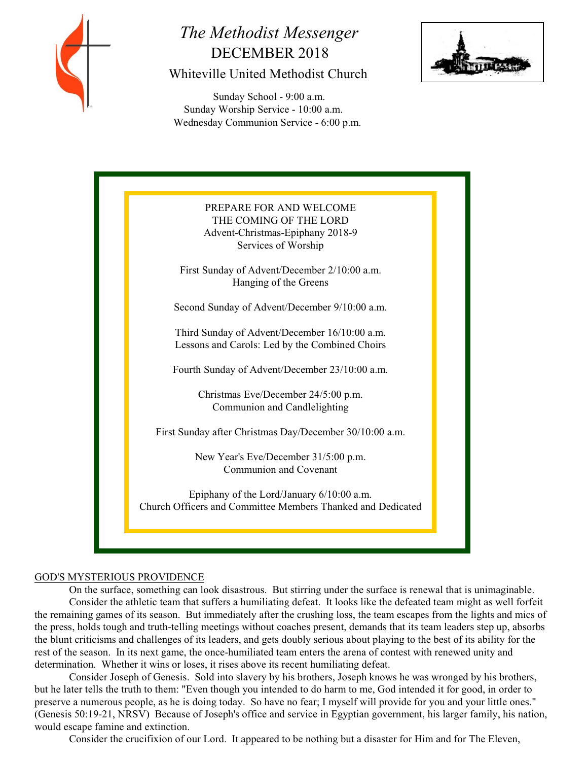

# *The Methodist Messenger* DECEMBER 2018 Whiteville United Methodist Church

 Sunday School - 9:00 a.m. Sunday Worship Service - 10:00 a.m. Wednesday Communion Service - 6:00 p.m.





#### GOD'S MYSTERIOUS PROVIDENCE

On the surface, something can look disastrous. But stirring under the surface is renewal that is unimaginable. Consider the athletic team that suffers a humiliating defeat. It looks like the defeated team might as well forfeit the remaining games of its season. But immediately after the crushing loss, the team escapes from the lights and mics of the press, holds tough and truth-telling meetings without coaches present, demands that its team leaders step up, absorbs the blunt criticisms and challenges of its leaders, and gets doubly serious about playing to the best of its ability for the rest of the season. In its next game, the once-humiliated team enters the arena of contest with renewed unity and determination. Whether it wins or loses, it rises above its recent humiliating defeat.

Consider Joseph of Genesis. Sold into slavery by his brothers, Joseph knows he was wronged by his brothers, but he later tells the truth to them: "Even though you intended to do harm to me, God intended it for good, in order to preserve a numerous people, as he is doing today. So have no fear; I myself will provide for you and your little ones." (Genesis 50:19-21, NRSV) Because of Joseph's office and service in Egyptian government, his larger family, his nation, would escape famine and extinction.

Consider the crucifixion of our Lord. It appeared to be nothing but a disaster for Him and for The Eleven,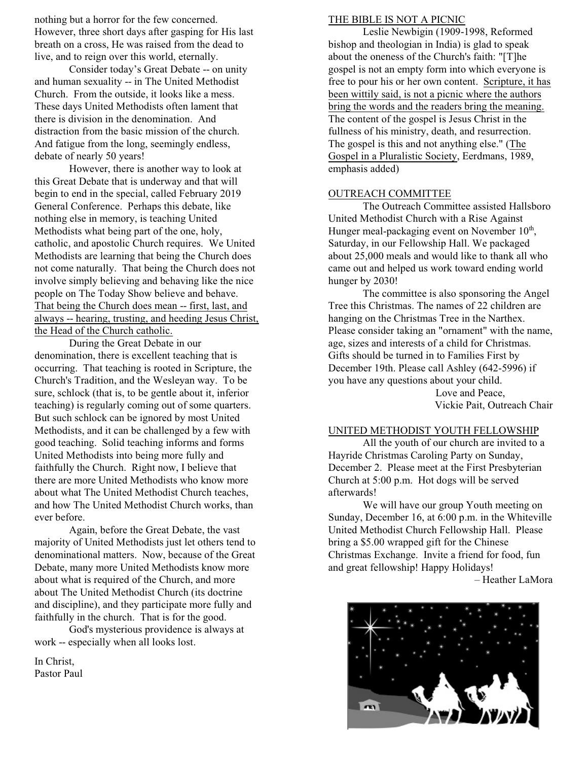nothing but a horror for the few concerned. However, three short days after gasping for His last breath on a cross, He was raised from the dead to live, and to reign over this world, eternally.

Consider today's Great Debate -- on unity and human sexuality -- in The United Methodist Church. From the outside, it looks like a mess. These days United Methodists often lament that there is division in the denomination. And distraction from the basic mission of the church. And fatigue from the long, seemingly endless, debate of nearly 50 years!

However, there is another way to look at this Great Debate that is underway and that will begin to end in the special, called February 2019 General Conference. Perhaps this debate, like nothing else in memory, is teaching United Methodists what being part of the one, holy, catholic, and apostolic Church requires. We United Methodists are learning that being the Church does not come naturally. That being the Church does not involve simply believing and behaving like the nice people on The Today Show believe and behave. That being the Church does mean -- first, last, and always -- hearing, trusting, and heeding Jesus Christ, the Head of the Church catholic.

During the Great Debate in our denomination, there is excellent teaching that is occurring. That teaching is rooted in Scripture, the Church's Tradition, and the Wesleyan way. To be sure, schlock (that is, to be gentle about it, inferior teaching) is regularly coming out of some quarters. But such schlock can be ignored by most United Methodists, and it can be challenged by a few with good teaching. Solid teaching informs and forms United Methodists into being more fully and faithfully the Church. Right now, I believe that there are more United Methodists who know more about what The United Methodist Church teaches, and how The United Methodist Church works, than ever before.

Again, before the Great Debate, the vast majority of United Methodists just let others tend to denominational matters. Now, because of the Great Debate, many more United Methodists know more about what is required of the Church, and more about The United Methodist Church (its doctrine and discipline), and they participate more fully and faithfully in the church. That is for the good.

God's mysterious providence is always at work -- especially when all looks lost.

In Christ, Pastor Paul

#### THE BIBLE IS NOT A PICNIC

Leslie Newbigin (1909-1998, Reformed bishop and theologian in India) is glad to speak about the oneness of the Church's faith: "[T]he gospel is not an empty form into which everyone is free to pour his or her own content. Scripture, it has been wittily said, is not a picnic where the authors bring the words and the readers bring the meaning. The content of the gospel is Jesus Christ in the fullness of his ministry, death, and resurrection. The gospel is this and not anything else." (The Gospel in a Pluralistic Society, Eerdmans, 1989, emphasis added)

#### OUTREACH COMMITTEE

The Outreach Committee assisted Hallsboro United Methodist Church with a Rise Against Hunger meal-packaging event on November  $10<sup>th</sup>$ , Saturday, in our Fellowship Hall. We packaged about 25,000 meals and would like to thank all who came out and helped us work toward ending world hunger by 2030!

The committee is also sponsoring the Angel Tree this Christmas. The names of 22 children are hanging on the Christmas Tree in the Narthex. Please consider taking an "ornament" with the name, age, sizes and interests of a child for Christmas. Gifts should be turned in to Families First by December 19th. Please call Ashley (642-5996) if you have any questions about your child.

Love and Peace, Vickie Pait, Outreach Chair

#### UNITED METHODIST YOUTH FELLOWSHIP

All the youth of our church are invited to a Hayride Christmas Caroling Party on Sunday, December 2. Please meet at the First Presbyterian Church at 5:00 p.m. Hot dogs will be served afterwards!

We will have our group Youth meeting on Sunday, December 16, at 6:00 p.m. in the Whiteville United Methodist Church Fellowship Hall. Please bring a \$5.00 wrapped gift for the Chinese Christmas Exchange. Invite a friend for food, fun and great fellowship! Happy Holidays!

– Heather LaMora

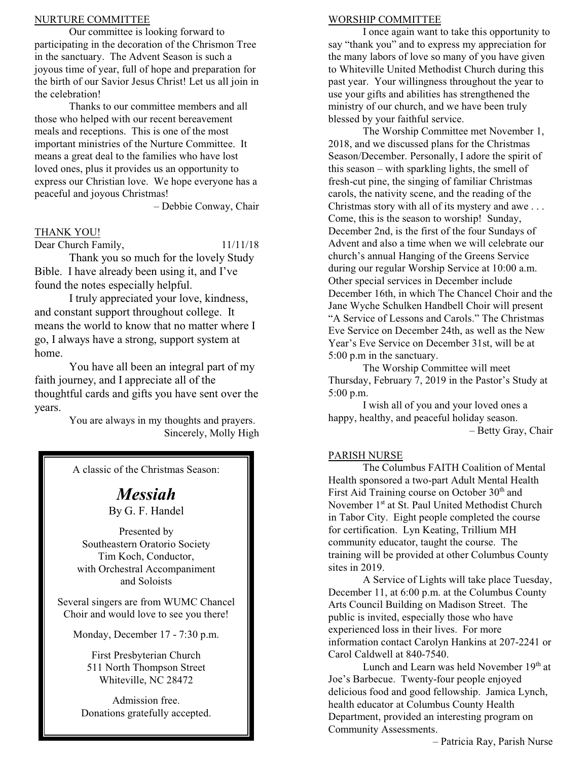#### NURTURE COMMITTEE

Our committee is looking forward to participating in the decoration of the Chrismon Tree in the sanctuary. The Advent Season is such a joyous time of year, full of hope and preparation for the birth of our Savior Jesus Christ! Let us all join in the celebration!

Thanks to our committee members and all those who helped with our recent bereavement meals and receptions. This is one of the most important ministries of the Nurture Committee. It means a great deal to the families who have lost loved ones, plus it provides us an opportunity to express our Christian love. We hope everyone has a peaceful and joyous Christmas!

– Debbie Conway, Chair

### THANK YOU!

Dear Church Family,  $11/11/18$ 

Thank you so much for the lovely Study Bible. I have already been using it, and I've found the notes especially helpful.

I truly appreciated your love, kindness, and constant support throughout college. It means the world to know that no matter where I go, I always have a strong, support system at home.

You have all been an integral part of my faith journey, and I appreciate all of the thoughtful cards and gifts you have sent over the years.

You are always in my thoughts and prayers. Sincerely, Molly High

A classic of the Christmas Season:

## *Messiah* By G. F. Handel

Presented by Southeastern Oratorio Society Tim Koch, Conductor, with Orchestral Accompaniment and Soloists

Several singers are from WUMC Chancel Choir and would love to see you there!

Monday, December 17 - 7:30 p.m.

First Presbyterian Church 511 North Thompson Street Whiteville, NC 28472

Admission free. Donations gratefully accepted.

#### WORSHIP COMMITTEE

I once again want to take this opportunity to say "thank you" and to express my appreciation for the many labors of love so many of you have given to Whiteville United Methodist Church during this past year. Your willingness throughout the year to use your gifts and abilities has strengthened the ministry of our church, and we have been truly blessed by your faithful service.

The Worship Committee met November 1, 2018, and we discussed plans for the Christmas Season/December. Personally, I adore the spirit of this season – with sparkling lights, the smell of fresh-cut pine, the singing of familiar Christmas carols, the nativity scene, and the reading of the Christmas story with all of its mystery and awe . . . Come, this is the season to worship! Sunday, December 2nd, is the first of the four Sundays of Advent and also a time when we will celebrate our church's annual Hanging of the Greens Service during our regular Worship Service at 10:00 a.m. Other special services in December include December 16th, in which The Chancel Choir and the Jane Wyche Schulken Handbell Choir will present "A Service of Lessons and Carols." The Christmas Eve Service on December 24th, as well as the New Year's Eve Service on December 31st, will be at 5:00 p.m in the sanctuary.

The Worship Committee will meet Thursday, February 7, 2019 in the Pastor's Study at 5:00 p.m.

I wish all of you and your loved ones a happy, healthy, and peaceful holiday season. – Betty Gray, Chair

#### PARISH NURSE

The Columbus FAITH Coalition of Mental Health sponsored a two-part Adult Mental Health First Aid Training course on October  $30<sup>th</sup>$  and November  $1<sup>st</sup>$  at St. Paul United Methodist Church in Tabor City. Eight people completed the course for certification. Lyn Keating, Trillium MH community educator, taught the course. The training will be provided at other Columbus County sites in 2019.

A Service of Lights will take place Tuesday, December 11, at 6:00 p.m. at the Columbus County Arts Council Building on Madison Street. The public is invited, especially those who have experienced loss in their lives. For more information contact Carolyn Hankins at 207-2241 or Carol Caldwell at 840-7540.

Lunch and Learn was held November 19th at Joe's Barbecue. Twenty-four people enjoyed delicious food and good fellowship. Jamica Lynch, health educator at Columbus County Health Department, provided an interesting program on Community Assessments.

– Patricia Ray, Parish Nurse